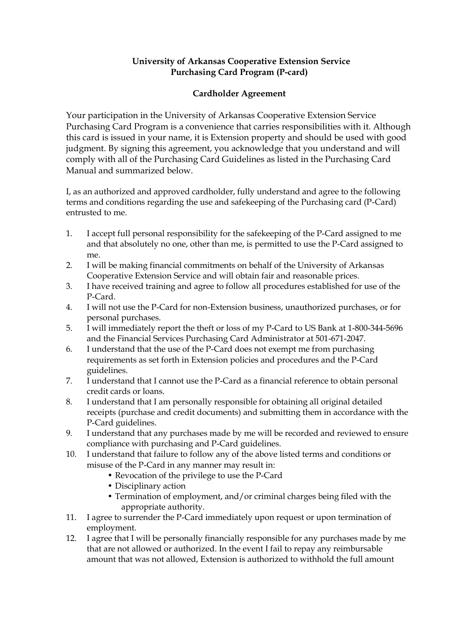## **University of Arkansas Cooperative Extension Service Purchasing Card Program (P-card)**

## **Cardholder Agreement**

Your participation in the University of Arkansas Cooperative Extension Service Purchasing Card Program is a convenience that carries responsibilities with it. Although this card is issued in your name, it is Extension property and should be used with good judgment. By signing this agreement, you acknowledge that you understand and will comply with all of the Purchasing Card Guidelines as listed in the Purchasing Card Manual and summarized below.

I, as an authorized and approved cardholder, fully understand and agree to the following terms and conditions regarding the use and safekeeping of the Purchasing card (P-Card) entrusted to me.

- 1. I accept full personal responsibility for the safekeeping of the P-Card assigned to me and that absolutely no one, other than me, is permitted to use the P-Card assigned to me.
- 2. I will be making financial commitments on behalf of the University of Arkansas Cooperative Extension Service and will obtain fair and reasonable prices.
- 3. I have received training and agree to follow all procedures established for use of the P-Card.
- 4. I will not use the P-Card for non-Extension business, unauthorized purchases, or for personal purchases.
- 5. I will immediately report the theft or loss of my P-Card to US Bank at 1-800-344-5696 and the Financial Services Purchasing Card Administrator at 501-671-2047.
- 6. I understand that the use of the P-Card does not exempt me from purchasing requirements as set forth in Extension policies and procedures and the P-Card guidelines.
- 7. I understand that I cannot use the P-Card as a financial reference to obtain personal credit cards or loans.
- 8. I understand that I am personally responsible for obtaining all original detailed receipts (purchase and credit documents) and submitting them in accordance with the P-Card guidelines.
- 9. I understand that any purchases made by me will be recorded and reviewed to ensure compliance with purchasing and P-Card guidelines.
- 10. I understand that failure to follow any of the above listed terms and conditions or misuse of the P-Card in any manner may result in:
	- Revocation of the privilege to use the P-Card
	- Disciplinary action
	- Termination of employment, and/or criminal charges being filed with the appropriate authority.
- 11. I agree to surrender the P-Card immediately upon request or upon termination of employment.
- 12. I agree that I will be personally financially responsible for any purchases made by me that are not allowed or authorized. In the event I fail to repay any reimbursable amount that was not allowed, Extension is authorized to withhold the full amount